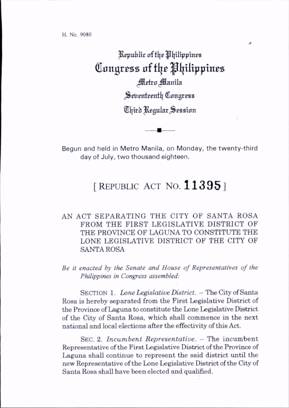Republic of the Philippines Congress of the Philippines Metro Manila Seventeenth Congress Third Regular Session

Begun and held in Metro Manila, on Monday, the twenty-third day of July, two thousand eighteen.

## [REPUBLIC ACT NO.  $11395$ ]

## AN ACT SEPARATING THE CITY OF SANTA ROSA FROM THE FIRST LEGISLATIVE DISTRICT OF THE PROVINCE OF LAGUNA TO CONSTITUTE THE LONE LEGISLATIVE DISTRICT OF THE CITY OF SANTA ROSA

Be it enacted by the Senate and House of Representatives of the Philippines in Congress assembled:

SECTION 1. Lone Legislative District. - The City of Santa Rosa is hereby separated from the First Legislative District of the Province of Laguna to constitute the Lone Legislative District of the City of Santa Rosa, which shall commence in the next national and locsd elections after the effectivity of this Act.

SEC. 2. Incumbent Representative. - The incumbent Representative of the First Legislative District of the Province of Laguna shall continue to represent the said district until the new Representative of the Lone Legislative District of the City of Santa Rosa shall have been elected and qualified.